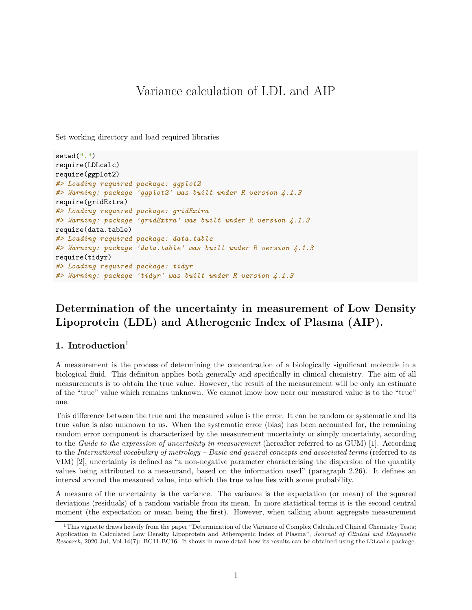# Variance calculation of LDL and AIP

Set working directory and load required libraries

```
setwd(".")
require(LDLcalc)
require(ggplot2)
#> Loading required package: ggplot2
#> Warning: package 'ggplot2' was built under R version 4.1.3
require(gridExtra)
#> Loading required package: gridExtra
#> Warning: package 'gridExtra' was built under R version 4.1.3
require(data.table)
#> Loading required package: data.table
#> Warning: package 'data.table' was built under R version 4.1.3
require(tidyr)
#> Loading required package: tidyr
#> Warning: package 'tidyr' was built under R version 4.1.3
```
# **Determination of the uncertainty in measurement of Low Density Lipoprotein (LDL) and Atherogenic Index of Plasma (AIP).**

## **1. Introduction**<sup>1</sup>

A measurement is the process of determining the concentration of a biologically significant molecule in a biological fluid. This definiton applies both generally and specifically in clinical chemistry. The aim of all measurements is to obtain the true value. However, the result of the measurement will be only an estimate of the "true" value which remains unknown. We cannot know how near our measured value is to the "true" one.

This difference between the true and the measured value is the error. It can be random or systematic and its true value is also unknown to us. When the systematic error (bias) has been accounted for, the remaining random error component is characterized by the measurement uncertainty or simply uncertainty, according to the *Guide to the expression of uncertainty in measurement* (hereafter referred to as GUM) [1]. According to the *International vocabulary of metrology – Basic and general concepts and associated terms* (referred to as VIM) [2], uncertainty is defined as "a non-negative parameter characterising the dispersion of the quantity values being attributed to a measurand, based on the information used" (paragraph  $2.26$ ). It defines an interval around the measured value, into which the true value lies with some probability.

A measure of the uncertainty is the variance. The variance is the expectation (or mean) of the squared deviations (residuals) of a random variable from its mean. In more statistical terms it is the second central moment (the expectation or mean being the first). However, when talking about aggregate measurement

<sup>1</sup>This vignette draws heavily from the paper "Determination of the Variance of Complex Calculated Clinical Chemistry Tests; Application in Calculated Low Density Lipoprotein and Atherogenic Index of Plasma", *Journal of Clinical and Diagnostic Research*, 2020 Jul, Vol-14(7): BC11-BC16. It shows in more detail how its results can be obtained using the LDLcalc package.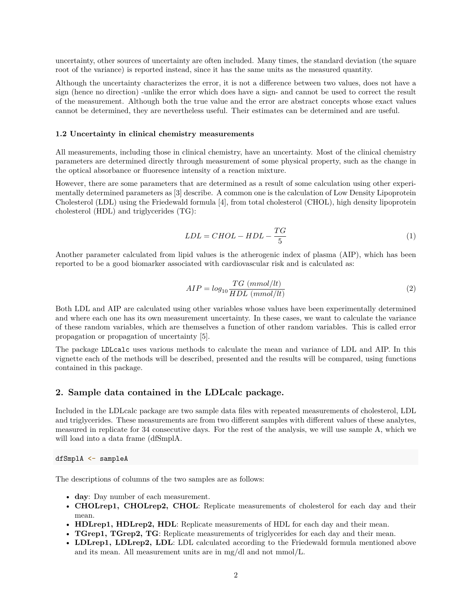uncertainty, other sources of uncertainty are often included. Many times, the standard deviation (the square root of the variance) is reported instead, since it has the same units as the measured quantity.

Although the uncertainty characterizes the error, it is not a difference between two values, does not have a sign (hence no direction) -unlike the error which does have a sign- and cannot be used to correct the result of the measurement. Although both the true value and the error are abstract concepts whose exact values cannot be determined, they are nevertheless useful. Their estimates can be determined and are useful.

#### **1.2 Uncertainty in clinical chemistry measurements**

All measurements, including those in clinical chemistry, have an uncertainty. Most of the clinical chemistry parameters are determined directly through measurement of some physical property, such as the change in the optical absorbance or fluoresence intensity of a reaction mixture.

However, there are some parameters that are determined as a result of some calculation using other experimentally determined parameters as [3] describe. A common one is the calculation of Low Density Lipoprotein Cholesterol (LDL) using the Friedewald formula [4], from total cholesterol (CHOL), high density lipoprotein cholesterol (HDL) and triglycerides (TG):

$$
LDL = CHOL - HDL - \frac{TG}{5}
$$
\n<sup>(1)</sup>

Another parameter calculated from lipid values is the atherogenic index of plasma (AIP), which has been reported to be a good biomarker associated with cardiovascular risk and is calculated as:

$$
AIP = log_{10} \frac{TG \ (mmol/lt)}{HDL \ (mmol/lt)} \tag{2}
$$

Both LDL and AIP are calculated using other variables whose values have been experimentally determined and where each one has its own measurement uncertainty. In these cases, we want to calculate the variance of these random variables, which are themselves a function of other random variables. This is called error propagation or propagation of uncertainty [5].

The package LDLcalc uses various methods to calculate the mean and variance of LDL and AIP. In this vignette each of the methods will be described, presented and the results will be compared, using functions contained in this package.

#### **2. Sample data contained in the LDLcalc package.**

Included in the LDLcalc package are two sample data files with repeated measurements of cholesterol, LDL and triglycerides. These measurements are from two different samples with different values of these analytes, measured in replicate for 34 consecutive days. For the rest of the analysis, we will use sample A, which we will load into a data frame (dfSmplA.

dfSmplA <- sampleA

The descriptions of columns of the two samples are as follows:

- **day**: Day number of each measurement.
- **CHOLrep1, CHOLrep2, CHOL**: Replicate measurements of cholesterol for each day and their mean.
- **HDLrep1, HDLrep2, HDL**: Replicate measurements of HDL for each day and their mean.
- **TGrep1, TGrep2, TG**: Replicate measurements of triglycerides for each day and their mean.
- **LDLrep1, LDLrep2, LDL**: LDL calculated according to the Friedewald formula mentioned above and its mean. All measurement units are in mg/dl and not mmol/L.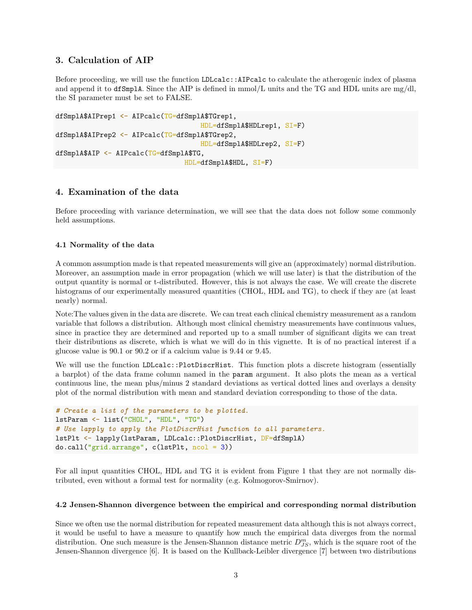## **3. Calculation of AIP**

Before proceeding, we will use the function LDLcalc::AIPcalc to calculate the atherogenic index of plasma and append it to dfSmplA. Since the AIP is defined in mmol/L units and the TG and HDL units are mg/dl, the SI parameter must be set to FALSE.

```
dfSmplA$AIPrep1 <- AIPcalc(TG=dfSmplA$TGrep1,
                                    HDL=dfSmplA$HDLrep1, SI=F)
dfSmplA$AIPrep2 <- AIPcalc(TG=dfSmplA$TGrep2,
                                    HDL=dfSmplA$HDLrep2, SI=F)
dfSmplA$AIP <- AIPcalc(TG=dfSmplA$TG,
                                HDL=dfSmplA$HDL, SI=F)
```
## **4. Examination of the data**

Before proceeding with variance determination, we will see that the data does not follow some commonly held assumptions.

## **4.1 Normality of the data**

A common assumption made is that repeated measurements will give an (approximately) normal distribution. Moreover, an assumption made in error propagation (which we will use later) is that the distribution of the output quantity is normal or t-distributed. However, this is not always the case. We will create the discrete histograms of our experimentally measured quantities (CHOL, HDL and TG), to check if they are (at least nearly) normal.

Note:The values given in the data are discrete. We can treat each clinical chemistry measurement as a random variable that follows a distribution. Although most clinical chemistry measurements have continuous values, since in practice they are determined and reported up to a small number of significant digits we can treat their distributions as discrete, which is what we will do in this vignette. It is of no practical interest if a glucose value is 90.1 or 90.2 or if a calcium value is 9.44 or 9.45.

We will use the function LDLcalc::PlotDiscrHist. This function plots a discrete histogram (essentially a barplot) of the data frame column named in the param argument. It also plots the mean as a vertical continuous line, the mean plus/minus 2 standard deviations as vertical dotted lines and overlays a density plot of the normal distribution with mean and standard deviation corresponding to those of the data.

```
# Create a list of the parameters to be plotted.
lstParam <- list("CHOL", "HDL", "TG")
# Use lapply to apply the PlotDiscrHist function to all parameters.
lstPlt <- lapply(lstParam, LDLcalc::PlotDiscrHist, DF=dfSmplA)
do.call("grid.arrange", c(lstPlt, ncol = 3))
```
For all input quantities CHOL, HDL and TG it is evident from Figure 1 that they are not normally distributed, even without a formal test for normality (e.g. Kolmogorov-Smirnov).

#### **4.2 Jensen-Shannon divergence between the empirical and corresponding normal distribution**

Since we often use the normal distribution for repeated measurement data although this is not always correct, it would be useful to have a measure to quantify how much the empirical data diverges from the normal distribution. One such measure is the Jensen-Shannon distance metric  $D_{JS}^m$ , which is the square root of the Jensen Shannon divergence [6]. It is based on the Kullback Leibler divergence [7] between two distributions Jensen-Shannon divergence [6]. It is based on the Kullback-Leibler divergence [7] between two distributions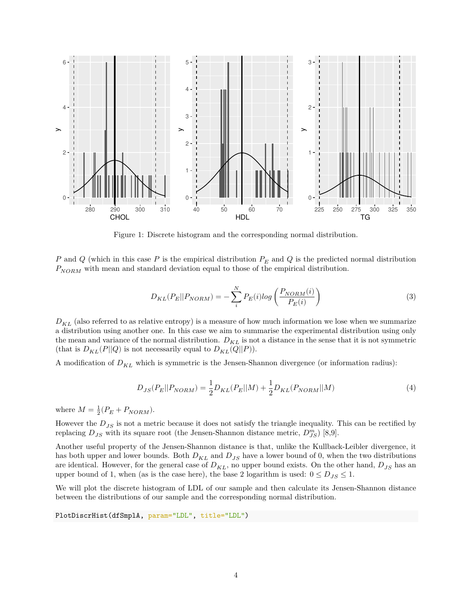

Figure 1: Discrete histogram and the corresponding normal distribution.

P and Q (which in this case P is the empirical distribution  $P_E$  and Q is the predicted normal distribution  $P_{NORM}$  with mean and standard deviation equal to those of the empirical distribution.

$$
D_{KL}(P_E||P_{NORM}) = -\sum_{i}^{N} P_E(i)log\left(\frac{P_{NORM}(i)}{P_E(i)}\right)
$$
\n(3)

 $D_{KL}$  (also referred to as relative entropy) is a measure of how much information we lose when we summarize a distribution using another one. In this case we aim to summarise the experimental distribution using only the mean and variance of the normal distribution.  $D_{KL}$  is not a distance in the sense that it is not symmetric (that is  $D_{KL}(P||Q)$  is not necessarily equal to  $D_{KL}(Q||P)$ ).

A modification of  $D_{KL}$  which is symmetric is the Jensen-Shannon divergence (or information radius):

$$
D_{JS}(P_E||P_{NORM}) = \frac{1}{2}D_{KL}(P_E||M) + \frac{1}{2}D_{KL}(P_{NORM}||M)
$$
\n(4)

where  $M = \frac{1}{2}(P_E + P_{NORM}).$ 

However the  $D_{JS}$  is not a metric because it does not satisfy the triangle inequality. This can be rectified by replacing  $D_{JS}$  with its square root (the Jensen-Shannon distance metric,  $D_{JS}^{m}$ ) [8,9].

Another useful property of the Jensen-Shannon distance is that, unlike the Kullback-Leibler divergence, it has both upper and lower bounds. Both  $D_{KL}$  and  $D_{JS}$  have a lower bound of 0, when the two distributions are identical. However, for the general case of  $D_{KL}$ , no upper bound exists. On the other hand,  $D_{JS}$  has an upper bound of 1, when (as is the case here), the base 2 logarithm is used:  $0 \leq D_{IS} \leq 1$ .

We will plot the discrete histogram of LDL of our sample and then calculate its Jensen-Shannon distance between the distributions of our sample and the corresponding normal distribution.

PlotDiscrHist(dfSmplA, param="LDL", title="LDL")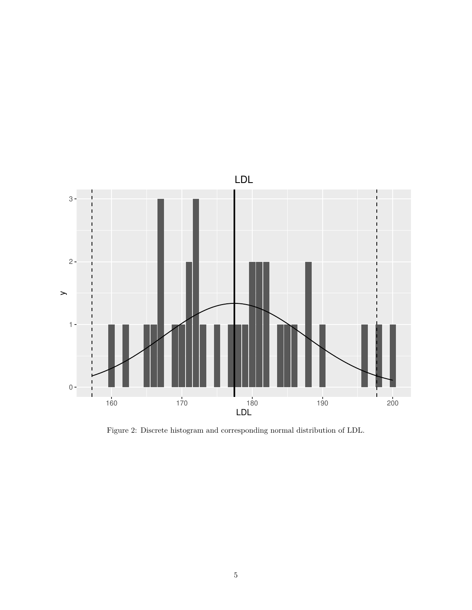

Figure 2: Discrete histogram and corresponding normal distribution of LDL.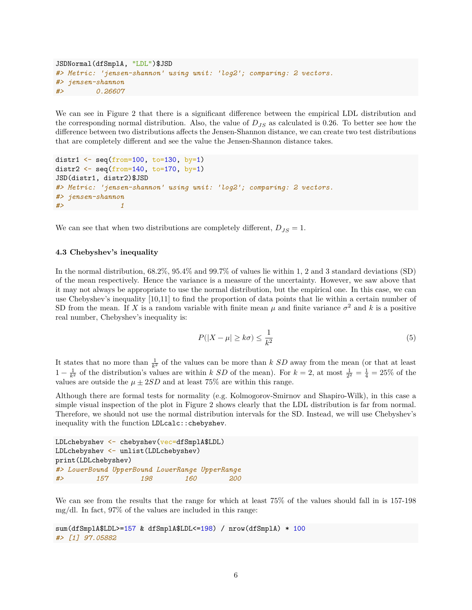```
JSDNormal(dfSmplA, "LDL")$JSD
#> Metric: 'jensen-shannon' using unit: 'log2'; comparing: 2 vectors.
#> jensen-shannon
#> 0.26607
```
We can see in Figure 2 that there is a significant difference between the empirical LDL distribution and the corresponding normal distribution. Also, the value of  $D_{JS}$  as calculated is 0.26. To better see how the difference between two distributions affects the Jensen-Shannon distance, we can create two test distributions that are completely different and see the value the Jensen-Shannon distance takes.

```
distr1 \leftarrow seq(from=100, to=130, by=1)
distr2 \leftarrow seq(from=140, to=170, by=1)
JSD(distr1, distr2)$JSD
#> Metric: 'jensen-shannon' using unit: 'log2'; comparing: 2 vectors.
#> jensen-shannon
#> 1
```
We can see that when two distributions are completely different,  $D_{JS} = 1$ .

## **4.3 Chebyshev's inequality**

In the normal distribution, 68.2%, 95.4% and 99.7% of values lie within 1, 2 and 3 standard deviations (SD) of the mean respectively. Hence the variance is a measure of the uncertainty. However, we saw above that it may not always be appropriate to use the normal distribution, but the empirical one. In this case, we can use Chebyshev's inequality [10,11] to find the proportion of data points that lie within a certain number of SD from the mean. If X is a random variable with finite mean  $\mu$  and finite variance  $\sigma^2$  and k is a positive roal number. Chebyshov's inequality is: real number, Chebyshev's inequality is:

$$
P(|X - \mu| \ge k\sigma) \le \frac{1}{k^2} \tag{5}
$$

It states that no more than  $\frac{1}{k^2}$  of the values can be more than k SD away from the mean (or that at least  $\frac{1}{k}$  of the distribution's values are within k SD of the mean). For  $k = 2$  at most  $\frac{1}{k} = \frac{1}{k} = 25$  $1 - \frac{1}{k^2}$  of the distribution's values are within k SD of the mean). For  $k = 2$ , at most  $\frac{1}{2^2} = \frac{1}{4} = 25\%$  of the values are outside the  $\mu + 2SD$  and at least  $75\%$  are within this range 2 values are outside the  $\mu \pm 2SD$  and at least 75% are within this range.

Although there are formal tests for normality (e.g. Kolmogorov-Smirnov and Shapiro-Wilk), in this case a simple visual inspection of the plot in Figure 2 shows clearly that the LDL distribution is far from normal. Therefore, we should not use the normal distribution intervals for the SD. Instead, we will use Chebyshev's inequality with the function LDLcalc::chebyshev.

```
LDLchebyshev <- chebyshev(vec=dfSmplA$LDL)
LDLchebyshev <- unlist(LDLchebyshev)
print(LDLchebyshev)
#> LowerBound UpperBound LowerRange UpperRange
#> 157 198 160 200
```
We can see from the results that the range for which at least 75% of the values should fall in is 157-198 mg/dl. In fact, 97% of the values are included in this range:

```
sum(dfSmplA$LDL>=157 & dfSmplA$LDL<=198) / nrow(dfSmplA) * 100
#> [1] 97.05882
```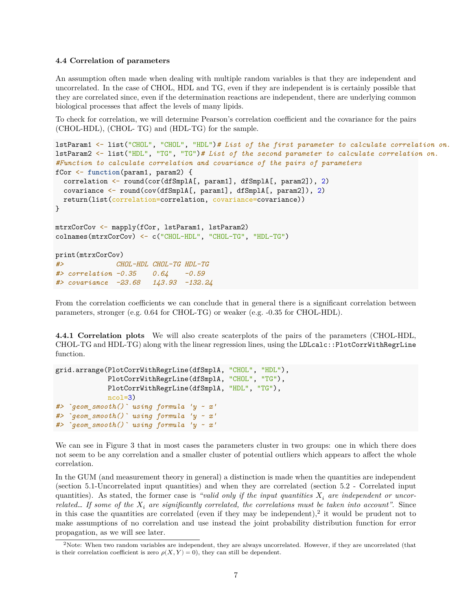#### **4.4 Correlation of parameters**

An assumption often made when dealing with multiple random variables is that they are independent and uncorrelated. In the case of CHOL, HDL and TG, even if they are independent is is certainly possible that they are correlated since, even if the determination reactions are independent, there are underlying common biological processes that affect the levels of many lipids.

To check for correlation, we will determine Pearson's correlation coefficient and the covariance for the pairs (CHOL-HDL), (CHOL- TG) and (HDL-TG) for the sample.

```
lstParam1 <- list("CHOL", "CHOL", "HDL")# List of the first parameter to calculate correlation on.
lstParam2 <- list("HDL", "TG", "TG")# List of the second parameter to calculate correlation on.
#Function to calculate correlation and covariance of the pairs of parameters
fCor <- function(param1, param2) {
 correlation <- round(cor(dfSmplA[, param1], dfSmplA[, param2]), 2)
 covariance <- round(cov(dfSmplA[, param1], dfSmplA[, param2]), 2)
 return(list(correlation=correlation, covariance=covariance))
}
mtrxCorCov <- mapply(fCor, lstParam1, lstParam2)
colnames(mtrxCorCov) <- c("CHOL-HDL", "CHOL-TG", "HDL-TG")
print(mtrxCorCov)
#> CHOL-HDL CHOL-TG HDL-TG
#> correlation -0.35 0.64 -0.59
#> covariance -23.68 143.93 -132.24
```
From the correlation coefficients we can conclude that in general there is a significant correlation between parameters, stronger (e.g. 0.64 for CHOL-TG) or weaker (e.g. -0.35 for CHOL-HDL).

**4.4.1 Correlation plots** We will also create scaterplots of the pairs of the parameters (CHOL-HDL, CHOL-TG and HDL-TG) along with the linear regression lines, using the LDLcalc::PlotCorrWithRegrLine function.

```
grid.arrange(PlotCorrWithRegrLine(dfSmplA, "CHOL", "HDL"),
             PlotCorrWithRegrLine(dfSmplA, "CHOL", "TG"),
             PlotCorrWithRegrLine(dfSmplA, "HDL", "TG"),
             ncol=3)
#> `geom_smooth()` using formula 'y ~ x'
#> `geom_smooth()` using formula 'y ~ x'
#> `geom_smooth()` using formula 'y ~ x'
```
We can see in Figure 3 that in most cases the parameters cluster in two groups: one in which there does not seem to be any correlation and a smaller cluster of potential outliers which appears to affect the whole correlation.

In the GUM (and measurement theory in general) a distinction is made when the quantities are independent (section 5.1-Uncorrelated input quantities) and when they are correlated (section 5.2 - Correlated input quantities). As stated, the former case is *"valid only if the input quantities*  $X_i$  *are independent or uncorrelated...* If some of the  $X_i$  are significantly correlated, the correlations must be taken into account". Since in this case the quantities are correlated (even if they may be independent),<sup>2</sup> it would be prudent not to make assumptions of no correlation and use instead the joint probability distribution function for error propagation, as we will see later.

<sup>&</sup>lt;sup>2</sup>Note: When two random variables are independent, they are always uncorrelated. However, if they are uncorrelated (that is their correlation coefficient is zero  $\rho(X, Y) = 0$ , they can still be dependent.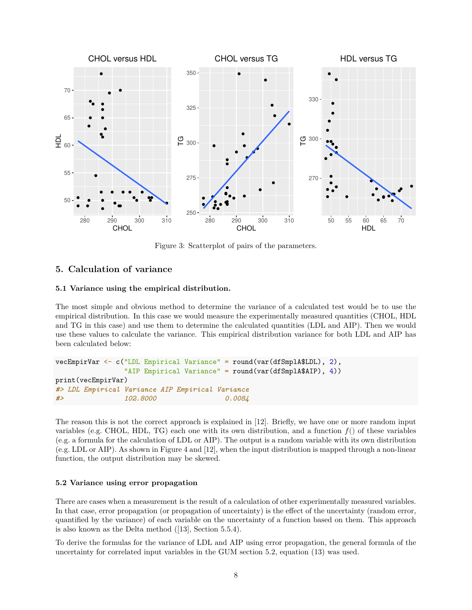

Figure 3: Scatterplot of pairs of the parameters.

## **5. Calculation of variance**

### **5.1 Variance using the empirical distribution.**

The most simple and obvious method to determine the variance of a calculated test would be to use the empirical distribution. In this case we would measure the experimentally measured quantities (CHOL, HDL and TG in this case) and use them to determine the calculated quantities (LDL and AIP). Then we would use these values to calculate the variance. This empirical distribution variance for both LDL and AIP has been calculated below:

```
vecEmpirVar \leftarrow c("LDL Empirical Variance" = round(var(dfSmplA$LDL), 2),"AIP Empirical Variance" = round(var(dfSmplA$AIP), 4))
print(vecEmpirVar)
#> LDL Empirical Variance AIP Empirical Variance
#> 102.8000 0.0084
```
The reason this is not the correct approach is explained in [12]. Briefly, we have one or more random input variables (e.g. CHOL, HDL, TG) each one with its own distribution, and a function  $f()$  of these variables (e.g. a formula for the calculation of LDL or AIP). The output is a random variable with its own distribution (e.g. LDL or AIP). As shown in Figure 4 and [12], when the input distribution is mapped through a non-linear function, the output distribution may be skewed.

#### **5.2 Variance using error propagation**

There are cases when a measurement is the result of a calculation of other experimentally measured variables. In that case, error propagation (or propagation of uncertainty) is the effect of the uncertainty (random error, quantified by the variance) of each variable on the uncertainty of a function based on them. This approach is also known as the Delta method ([13], Section 5.5.4).

To derive the formulas for the variance of LDL and AIP using error propagation, the general formula of the uncertainty for correlated input variables in the GUM section 5.2, equation (13) was used.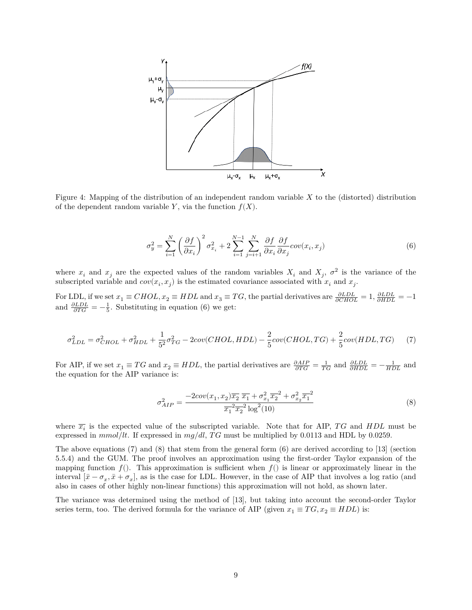

Figure 4: Mapping of the distribution of an independent random variable  $X$  to the (distorted) distribution of the dependent random variable Y, via the function  $f(X)$ .

$$
\sigma_y^2 = \sum_{i=1}^N \left(\frac{\partial f}{\partial x_i}\right)^2 \sigma_{x_i}^2 + 2 \sum_{i=1}^{N-1} \sum_{j=i+1}^N \frac{\partial f}{\partial x_i} \frac{\partial f}{\partial x_j} cov(x_i, x_j)
$$
(6)

where  $x_i$  and  $x_j$  are the expected values of the random variables  $X_i$  and  $X_j$ ,  $\sigma^2$  is the variance of the subscripted variables and containing a special with  $x_i$  and  $x_i$ subscripted variable and  $cov(x_i, x_j)$  is the estimated covariance associated with  $x_i$  and  $x_j$ .

For LDL, if we set  $x_1 \equiv CHOL, x_2 \equiv HDL$  and  $x_3 \equiv TG$ , the partial derivatives are  $\frac{\partial LDL}{\partial CHOL} = 1$ ,  $\frac{\partial LDL}{\partial HDL} = -1$ and  $\frac{\partial LDL}{\partial TG} = -\frac{1}{5}$ . Substituting in equation (6) we get:

$$
\sigma_{LDL}^2 = \sigma_{CHOL}^2 + \sigma_{HDL}^2 + \frac{1}{5^2} \sigma_{TG}^2 - 2cov(CHOL, HDL) - \frac{2}{5} cov(CHOL, TG) + \frac{2}{5} cov(HDL, TG)
$$
 (7)

For AIP, if we set  $x_1 \equiv TG$  and  $x_2 \equiv HDL$ , the partial derivatives are  $\frac{\partial AP}{\partial TG} = \frac{1}{TG}$  and  $\frac{\partial LDL}{\partial HDL} = -\frac{1}{HDL}$  and the equation for the AIP variance is: the equation for the AIP variance is:

$$
\sigma_{AIP}^2 = \frac{-2cov(x_1, x_2)\overline{x_2} \ \overline{x_1} + \sigma_{x_1}^2 \overline{x_2}^2 + \sigma_{x_2}^2 \overline{x_1}^2}{\overline{x_1}^2 \overline{x_2}^2 \log^2(10)}\tag{8}
$$

where  $\overline{x_i}$  is the expected value of the subscripted variable. Note that for AIP, TG and HDL must be expressed in  $m\alpha/dl$ , TG must be multiplied by 0.0113 and HDL by 0.0250 expressed in  $mmol/lt$ . If expressed in  $mg/dl$ , TG must be multiplied by 0.0113 and HDL by 0.0259.

The above equations (7) and (8) that stem from the general form  $(6)$  are derived according to [13] (section 5.5.4) and the GUM. The proof involves an approximation using the first-order Taylor expansion of the mapping function  $f(.)$ . This approximation is sufficient when  $f()$  is linear or approximately linear in the interval  $[\bar{x} - \sigma_x, \bar{x} + \sigma_x]$ , as is the case for LDL. However, in the case of AIP that involves a log ratio (and<br>also in eases of other highly non-linear functions) this approximation will not hold, as shown later also in cases of other highly non-linear functions) this approximation will not hold, as shown later.

The variance was determined using the method of [13], but taking into account the second-order Taylor series term, too. The derived formula for the variance of AIP (given  $x_1 \equiv TG, x_2 \equiv HDL$ ) is: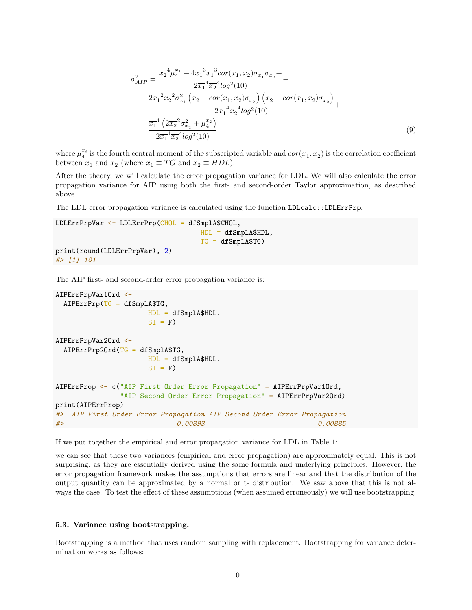$$
\sigma_{AIP}^2 = \frac{\overline{x_2}^4 \mu_4^{x_1} - 4\overline{x_1}^3 \overline{x_1}^3 \cos(x_1, x_2) \sigma_{x_1} \sigma_{x_2} + 2\overline{x_1}^4 \overline{x_2}^4 \log^2(10)} + 2\overline{x_1}^2 \overline{x_2}^2 \sigma_{x_1}^2 \left( \overline{x_2} - \cos(x_1, x_2) \sigma_{x_2} \right) \left( \overline{x_2} + \cos(x_1, x_2) \sigma_{x_2} \right)} + 2\overline{x_1}^4 \overline{x_2}^4 \log^2(10) + \frac{\overline{x_1}^4 \left( 2\overline{x_2}^2 \sigma_{x_2}^2 + \mu_4^{x_2} \right)}{2\overline{x_1}^4 \overline{x_2}^4 \log^2(10)} \tag{9}
$$

where  $\mu_4^{x_i}$  is the fourth central moment of the subscripted variable and  $cor(x_1, x_2)$  is the correlation coefficient<br>between  $x_i$  and  $x_j$  (where  $x_j = T G$  and  $x_j = H D I$ ) between  $x_1$  and  $x_2$  (where  $x_1 \equiv TG$  and  $x_2 \equiv HDL$ ).

After the theory, we will calculate the error propagation variance for LDL. We will also calculate the error propagation variance for AIP using both the first- and second-order Taylor approximation, as described above.

The LDL error propagation variance is calculated using the function LDLcalc::LDLErrPrp.

```
LDLErrPrpVar <- LDLErrPrp(CHOL = dfSmplA$CHOL,
                                    HDL = dfSmplA$HDL,
                                    TG = dfSmp1A$TG)print(round(LDLErrPrpVar), 2)
#> [1] 101
```
The AIP first- and second-order error propagation variance is:

```
AIPErrPrpVar1Ord <-
 AIPErrPrp(TG = dfSmp1A$TG,HDL = dfSmplA$HDL,
                    SI = F)
AIPErrPrpVar2Ord <-
 AIPErrPrp2Ord(TG = dfSmplA$TG,
                    HDL = dfSmplA$HDL,
                    SI = F)
AIPErrProp <- c("AIP First Order Error Propagation" = AIPErrPrpVar1Ord,
              "AIP Second Order Error Propagation" = AIPErrPrpVar2Ord)
print(AIPErrProp)
#> AIP First Order Error Propagation AIP Second Order Error Propagation
#> 0.00893 0.00885
```
If we put together the empirical and error propagation variance for LDL in Table 1:

we can see that these two variances (empirical and error propagation) are approximately equal. This is not surprising, as they are essentially derived using the same formula and underlying principles. However, the error propagation framework makes the assumptions that errors are linear and that the distribution of the output quantity can be approximated by a normal or t- distribution. We saw above that this is not always the case. To test the effect of these assumptions (when assumed erroneously) we will use bootstrapping.

#### **5.3. Variance using bootstrapping.**

Bootstrapping is a method that uses random sampling with replacement. Bootstrapping for variance determination works as follows: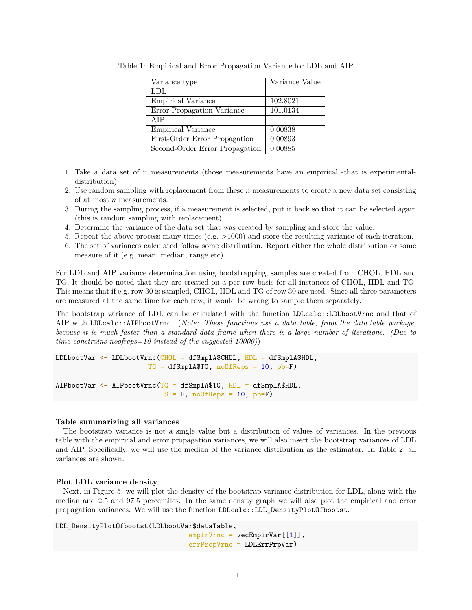| Variance type                  | Variance Value |
|--------------------------------|----------------|
| LDL                            |                |
| <b>Empirical Variance</b>      | 102.8021       |
| Error Propagation Variance     | 101.0134       |
| AIP                            |                |
| <b>Empirical Variance</b>      | 0.00838        |
| First-Order Error Propagation  | 0.00893        |
| Second-Order Error Propagation | 0.00885        |

Table 1: Empirical and Error Propagation Variance for LDL and AIP

- 1. Take a data set of  $n$  measurements (those measurements have an empirical -that is experimentaldistribution).
- 2. Use random sampling with replacement from these  $n$  measurements to create a new data set consisting of at most  $n$  measurements.
- 3. During the sampling process, if a measurement is selected, put it back so that it can be selected again (this is random sampling with replacement).
- 4. Determine the variance of the data set that was created by sampling and store the value.
- 5. Repeat the above process many times (e.g. >1000) and store the resulting variance of each iteration.
- 6. The set of variances calculated follow some distribution. Report either the whole distribution or some measure of it (e.g. mean, median, range etc).

For LDL and AIP variance determination using bootstrapping, samples are created from CHOL, HDL and TG. It should be noted that they are created on a per row basis for all instances of CHOL, HDL and TG. This means that if e.g. row 30 is sampled, CHOL, HDL and TG of row 30 are used. Since all three parameters are measured at the same time for each row, it would be wrong to sample them separately.

The bootstrap variance of LDL can be calculated with the function LDLcalc::LDLbootVrnc and that of AIP with LDLcalc::AIPbootVrnc. (*Note: These functions use a data table, from the data.table package, because it is much faster than a standard data frame when there is a large number of iterations. (Due to time constrains noofreps=10 instead of the suggested 10000)*)

```
LDLbootVar <- LDLbootVrnc(CHOL = dfSmplA$CHOL, HDL = dfSmplA$HDL,
                       TG = dfSmp1A$TG, no0fReps = 10, pb=FAIPbootVar \leq AIPbootVrnc(TG = dfSmplA$TG, HDL = dfSmplA$HDL,
                           SI = F, noOfReps = 10, pb=F)
```
#### **Table summarizing all variances**

The bootstrap variance is not a single value but a distribution of values of variances. In the previous table with the empirical and error propagation variances, we will also insert the bootstrap variances of LDL and AIP. Specifically, we will use the median of the variance distribution as the estimator. In Table 2, all variances are shown.

#### **Plot LDL variance density**

Next, in Figure 5, we will plot the density of the bootstrap variance distribution for LDL, along with the median and 2.5 and 97.5 percentiles. In the same density graph we will also plot the empirical and error propagation variances. We will use the function LDLcalc::LDL\_DensityPlotOfbootst.

LDL\_DensityPlotOfbootst(LDLbootVar\$dataTable,

```
empirVrnc = vecEmpirVar[[1]],
errPropVrnc = LDLErrPrpVar)
```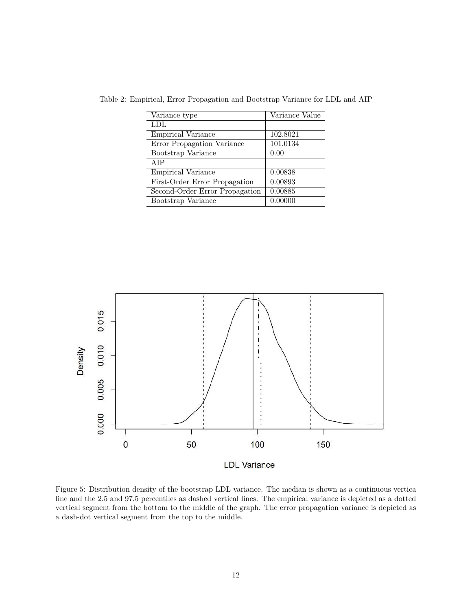| Variance type                  | Variance Value |
|--------------------------------|----------------|
| LDL                            |                |
| <b>Empirical Variance</b>      | 102.8021       |
| Error Propagation Variance     | 101.0134       |
| Bootstrap Variance             | 0.00           |
| AIP                            |                |
| <b>Empirical Variance</b>      | 0.00838        |
| First-Order Error Propagation  | 0.00893        |
| Second-Order Error Propagation | 0.00885        |
| Bootstrap Variance             | 0.00000        |

Table 2: Empirical, Error Propagation and Bootstrap Variance for LDL and AIP



Figure 5: Distribution density of the bootstrap LDL variance. The median is shown as a continuous vertica line and the 2.5 and 97.5 percentiles as dashed vertical lines. The empirical variance is depicted as a dotted vertical segment from the bottom to the middle of the graph. The error propagation variance is depicted as a dash-dot vertical segment from the top to the middle.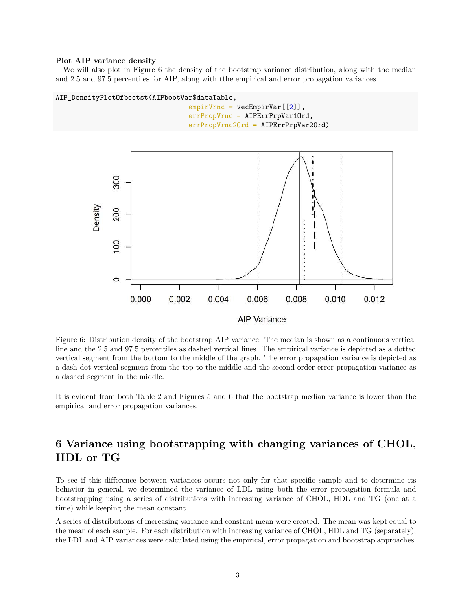#### **Plot AIP variance density**

We will also plot in Figure 6 the density of the bootstrap variance distribution, along with the median and 2.5 and 97.5 percentiles for AIP, along with tthe empirical and error propagation variances.

#### AIP\_DensityPlotOfbootst(AIPbootVar\$dataTable,

```
empirVrac = vecEmpirVar[[2]],errPropVrnc = AIPErrPrpVar1Ord,
errPropVrnc2Ord = AIPErrPrpVar2Ord)
```


**AIP Variance** 

Figure 6: Distribution density of the bootstrap AIP variance. The median is shown as a continuous vertical line and the 2.5 and 97.5 percentiles as dashed vertical lines. The empirical variance is depicted as a dotted vertical segment from the bottom to the middle of the graph. The error propagation variance is depicted as a dash-dot vertical segment from the top to the middle and the second order error propagation variance as a dashed segment in the middle.

It is evident from both Table 2 and Figures 5 and 6 that the bootstrap median variance is lower than the empirical and error propagation variances.

# **6 Variance using bootstrapping with changing variances of CHOL, HDL or TG**

To see if this difference between variances occurs not only for that specific sample and to determine its behavior in general, we determined the variance of LDL using both the error propagation formula and bootstrapping using a series of distributions with increasing variance of CHOL, HDL and TG (one at a time) while keeping the mean constant.

A series of distributions of increasing variance and constant mean were created. The mean was kept equal to the mean of each sample. For each distribution with increasing variance of CHOL, HDL and TG (separately), the LDL and AIP variances were calculated using the empirical, error propagation and bootstrap approaches.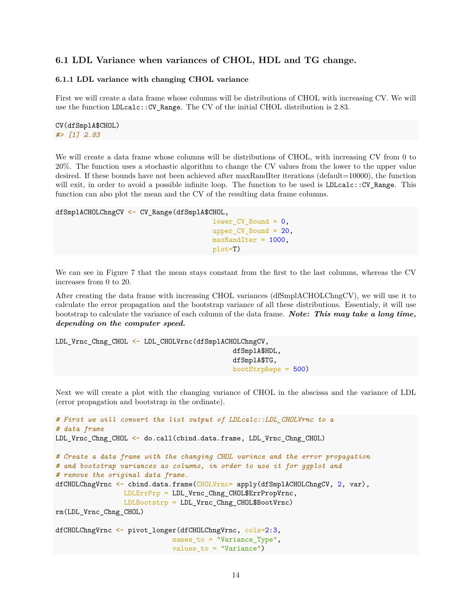## **6.1 LDL Variance when variances of CHOL, HDL and TG change.**

#### **6.1.1 LDL variance with changing CHOL variance**

First we will create a data frame whose columns will be distributions of CHOL with increasing CV. We will use the function LDLcalc::CV\_Range. The CV of the initial CHOL distribution is 2.83.

```
CV(dfSmplA$CHOL)
#> [1] 2.83
```
We will create a data frame whose columns will be distributions of CHOL, with increasing CV from 0 to 20%. The function uses a stochastic algorithm to change the CV values from the lower to the upper value desired. If these bounds have not been achieved after maxRandIter iterations (default=10000), the function will exit, in order to avoid a possible infinite loop. The function to be used is LDLcalc:: $CV$  Range. This function can also plot the mean and the CV of the resulting data frame columns.

```
dfSmplACHOLChngCV <- CV_Range(dfSmplA$CHOL,
                                        lower_CV_Bound = 0,
                                        upper_CV_Bound = 20,
                                        maxRandIter = 1000,
                                        plot=T)
```
We can see in Figure 7 that the mean stays constant from the first to the last columns, whereas the CV increases from 0 to 20.

After creating the data frame with increasing CHOL variances (dfSmplACHOLChngCV), we will use it to calculate the error propagation and the bootstrap variance of all these distributions. Essentialy, it will use bootstrap to calculate the variance of each column of the data frame. *Note: This may take a long time, depending on the computer speed.*

```
LDL_Vrnc_Chng_CHOL <- LDL_CHOLVrnc(dfSmplACHOLChngCV,
                                             dfSmplA$HDL,
                                             dfSmplA$TG,
                                             bootStrpReps = 500)
```
Next we will create a plot with the changing variance of CHOL in the abscissa and the variance of LDL (error propagation and bootstrap in the ordinate).

```
# First we will convert the list output of LDLcalc::LDL_CHOLVrnc to a
# data frame
LDL_Vrnc_Chng_CHOL <- do.call(cbind.data.frame, LDL_Vrnc_Chng_CHOL)
# Create a data frame with the changing CHOL varince and the error propagation
# and bootstrap variances as columns, in order to use it for ggplot and
# remove the original data frame.
dfCHOLChngVrnc <- cbind.data.frame(CHOLVrnc= apply(dfSmplACHOLChngCV, 2, var),
                 LDLErrPrp = LDL_Vrnc_Chng_CHOL$ErrPropVrnc,
                 LDLBootstrp = LDL_Vrnc_Chng_CHOL$BootVrnc)
rm(LDL_Vrnc_Chng_CHOL)
dfCHOLChngVrnc <- pivot_longer(dfCHOLChngVrnc, cols=2:3,
                             names to = "Variance Type",
                             values_to = "Variance")
```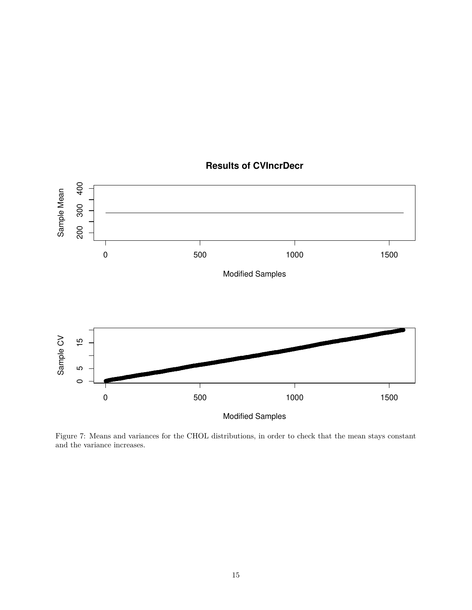

## **Results of CVIncrDecr**

Figure 7: Means and variances for the CHOL distributions, in order to check that the mean stays constant and the variance increases.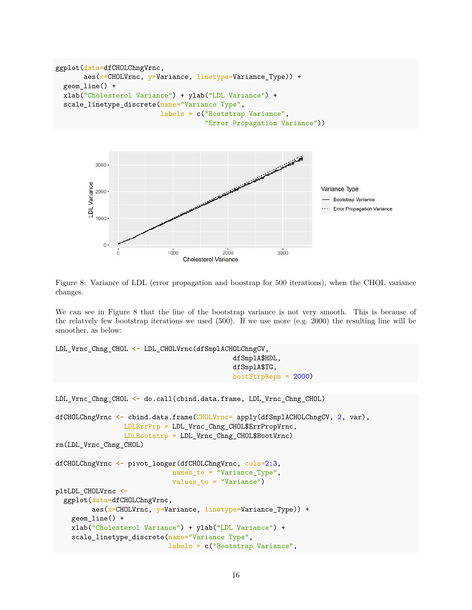```
ggplot(data=dfCHOLChngVrnc,
       aes(x=CHOLVrnc, y=Variance, linetype=Variance_Type)) +
  geom_line() +
  xlab("Cholesterol Variance") + ylab("LDL Variance") +
  scale_linetype_discrete(name="Variance Type",
                          labels = c("Bootstrap Variance",
                                     "Error Propagation Variance"))
```


Figure 8: Variance of LDL (error propagation and boostrap for 500 iterations), when the CHOL variance changes.

We can see in Figure 8 that the line of the bootstrap variance is not very smooth. This is because of the relatvely few bootstrap iterations we used (500). If we use more (e.g. 2000) the resulting line will be smoother, as below:

```
LDL_Vrnc_Chng_CHOL <- LDL_CHOLVrnc(dfSmplACHOLChngCV,
                                             dfSmplA$HDL,
                                             dfSmplA$TG,
                                             bootStrpReps = 2000)
```

```
LDL_Vrnc_Chng_CHOL <- do.call(cbind.data.frame, LDL_Vrnc_Chng_CHOL)
dfCHOLChngVrnc <- cbind.data.frame(CHOLVrnc= apply(dfSmplACHOLChngCV, 2, var),
                 LDLErrPrp = LDL_Vrnc_Chng_CHOL$ErrPropVrnc,
                 LDLBootstrp = LDL_Vrnc_Chng_CHOL$BootVrnc)
rm(LDL_Vrnc_Chng_CHOL)
dfCHOLChngVrnc <- pivot_longer(dfCHOLChngVrnc, cols=2:3,
                             names_to = "Variance_Type",
                             values to = "Variance")
pltLDL_CHOLVrnc <-
  ggplot(data=dfCHOLChngVrnc,
         aes(x=CHOLVrnc, y=Variance, linetype=Variance_Type)) +
    geom_line() +
    xlab("Cholesterol Variance") + ylab("LDL Variance") +
    scale_linetype_discrete(name="Variance Type",
                            labels = c("Bootstrap Variance",
```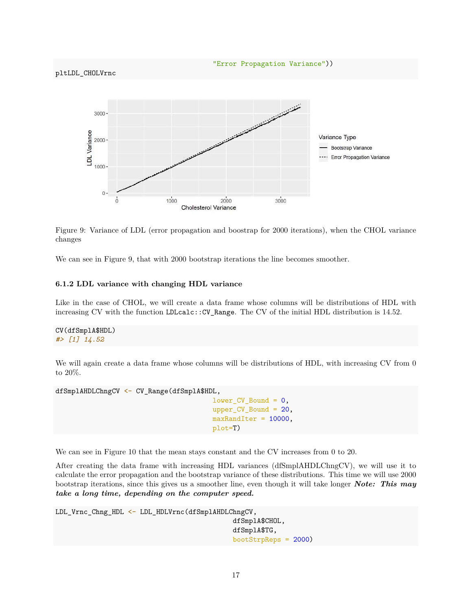## pltLDL\_CHOLVrnc المتشركين المستندر  $3000 -$ LDL Variance Variance Type  $2000 -$ - Bootstrap Variance ---- Error Propagation Variance 1000  $\overline{0}$ 3000 1000 2000 Cholesterol Variance

"Error Propagation Variance"))

Figure 9: Variance of LDL (error propagation and boostrap for 2000 iterations), when the CHOL variance changes

We can see in Figure 9, that with 2000 bootstrap iterations the line becomes smoother.

## **6.1.2 LDL variance with changing HDL variance**

Like in the case of CHOL, we will create a data frame whose columns will be distributions of HDL with increasing CV with the function LDLcalc::CV\_Range. The CV of the initial HDL distribution is 14.52.

CV(dfSmplA\$HDL) *#> [1] 14.52*

We will again create a data frame whose columns will be distributions of HDL, with increasing CV from 0 to 20%.

```
dfSmplAHDLChngCV <- CV_Range(dfSmplA$HDL,
                                        lower CV Bound = 0,
                                        upper_CV_Bound = 20,
                                        maxRandIter = 10000,
                                        plot=T)
```
We can see in Figure 10 that the mean stays constant and the CV increases from 0 to 20.

After creating the data frame with increasing HDL variances (dfSmplAHDLChngCV), we will use it to calculate the error propagation and the bootstrap variance of these distributions. This time we will use 2000 bootstrap iterations, since this gives us a smoother line, even though it will take longer *Note: This may take a long time, depending on the computer speed.*

```
LDL_Vrnc_Chng_HDL <- LDL_HDLVrnc(dfSmplAHDLChngCV,
                                             dfSmplA$CHOL,
                                             dfSmplA$TG,
                                             bootStrpReps = 2000)
```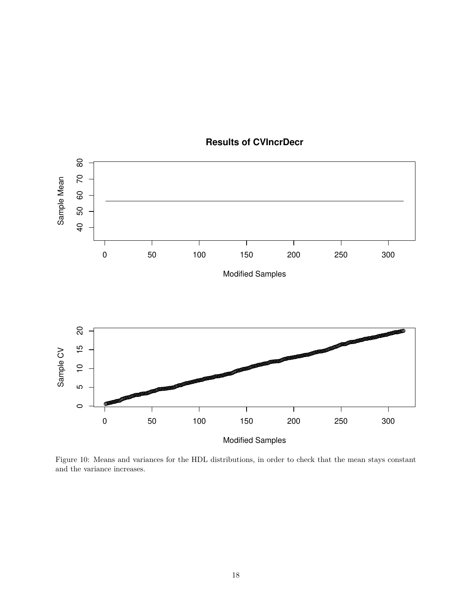

# **Results of CVIncrDecr**

Figure 10: Means and variances for the HDL distributions, in order to check that the mean stays constant and the variance increases.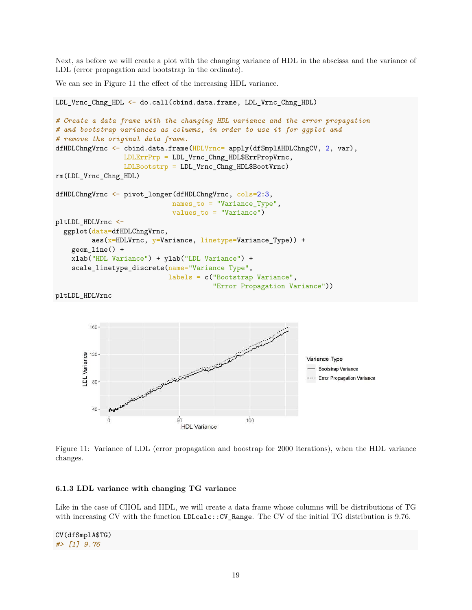Next, as before we will create a plot with the changing variance of HDL in the abscissa and the variance of LDL (error propagation and bootstrap in the ordinate).

We can see in Figure 11 the effect of the increasing HDL variance.

```
LDL_Vrnc_Chng_HDL <- do.call(cbind.data.frame, LDL_Vrnc_Chng_HDL)
# Create a data frame with the changing HDL variance and the error propagation
# and bootstrap variances as columns, in order to use it for ggplot and
# remove the original data frame.
dfHDLChngVrnc <- cbind.data.frame(HDLVrnc= apply(dfSmplAHDLChngCV, 2, var),
                 LDLErrPrp = LDL_Vrnc_Chng_HDL$ErrPropVrnc,
                 LDLBootstrp = LDL_Vrnc_Chng_HDL$BootVrnc)
rm(LDL_Vrnc_Chng_HDL)
dfHDLChngVrnc <- pivot_longer(dfHDLChngVrnc, cols=2:3,
                             names_to = "Variance_Type",
                             values_to = "Variance")
pltLDL_HDLVrnc <-
  ggplot(data=dfHDLChngVrnc,
         aes(x=HDLVrnc, y=Variance, linetype=Variance_Type)) +
   geom_line() +
   xlab("HDL Variance") + ylab("LDL Variance") +
    scale_linetype_discrete(name="Variance Type",
                            labels = c("Bootstrap Variance",
                                       "Error Propagation Variance"))
pltLDL_HDLVrnc
```


Figure 11: Variance of LDL (error propagation and boostrap for 2000 iterations), when the HDL variance changes.

#### **6.1.3 LDL variance with changing TG variance**

Like in the case of CHOL and HDL, we will create a data frame whose columns will be distributions of TG with increasing CV with the function LDLcalc::CV\_Range. The CV of the initial TG distribution is 9.76.

CV(dfSmplA\$TG) *#> [1] 9.76*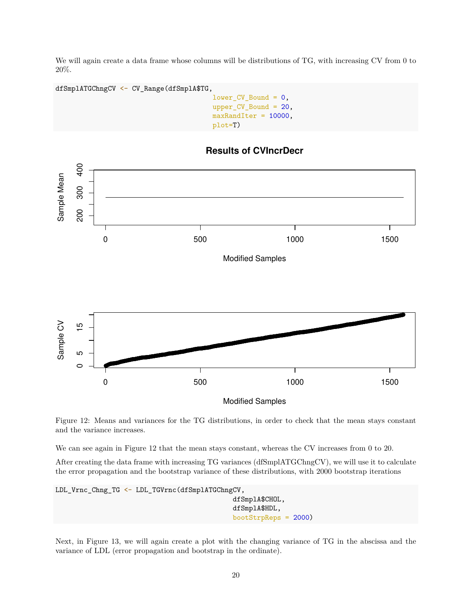We will again create a data frame whose columns will be distributions of TG, with increasing CV from 0 to 20%.

```
dfSmplATGChngCV <- CV_Range(dfSmplA$TG,
                                        lower_CV_Bound = 0,
                                        upper_CV_Bound = 20,
                                        maxRandIter = 10000,
                                        plot=T)
```


## **Results of CVIncrDecr**

Figure 12: Means and variances for the TG distributions, in order to check that the mean stays constant and the variance increases.

We can see again in Figure 12 that the mean stays constant, whereas the CV increases from 0 to 20.

After creating the data frame with increasing TG variances (dfSmplATGChngCV), we will use it to calculate the error propagation and the bootstrap variance of these distributions, with 2000 bootstrap iterations

LDL\_Vrnc\_Chng\_TG <- LDL\_TGVrnc(dfSmplATGChngCV, dfSmplA\$CHOL, dfSmplA\$HDL, bootStrpReps = 2000)

Next, in Figure 13, we will again create a plot with the changing variance of TG in the abscissa and the variance of LDL (error propagation and bootstrap in the ordinate).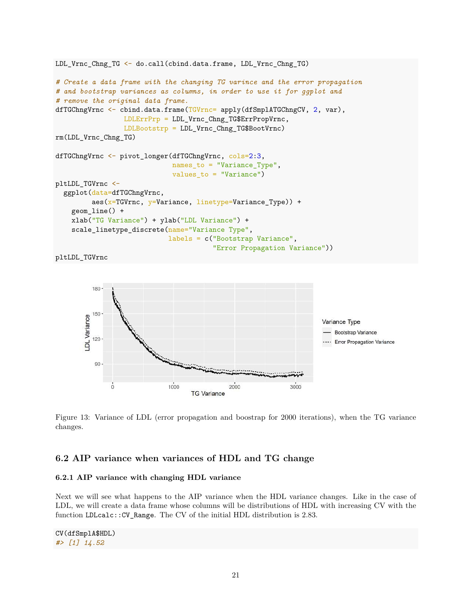```
LDL_Vrnc_Chng_TG <- do.call(cbind.data.frame, LDL_Vrnc_Chng_TG)
# Create a data frame with the changing TG varince and the error propagation
# and bootstrap variances as columns, in order to use it for ggplot and
# remove the original data frame.
dfTGChngVrnc <- cbind.data.frame(TGVrnc= apply(dfSmplATGChngCV, 2, var),
                 LDLErrPrp = LDL_Vrnc_Chng_TG$ErrPropVrnc,
                 LDLBootstrp = LDL_Vrnc_Chng_TG$BootVrnc)
rm(LDL_Vrnc_Chng_TG)
dfTGChngVrnc <- pivot_longer(dfTGChngVrnc, cols=2:3,
                             names_to = "Variance_Type",
                             values_to = "Variance")
pltLDL_TGVrnc <-
  ggplot(data=dfTGChngVrnc,
         aes(x=TGVrnc, y=Variance, linetype=Variance_Type)) +
   geom_line() +
   xlab("TG Variance") + ylab("LDL Variance") +
   scale_linetype_discrete(name="Variance Type",
                            labels = c("Bootstrap Variance",
                                       "Error Propagation Variance"))
```

```
pltLDL_TGVrnc
```




## **6.2 AIP variance when variances of HDL and TG change**

#### **6.2.1 AIP variance with changing HDL variance**

Next we will see what happens to the AIP variance when the HDL variance changes. Like in the case of LDL, we will create a data frame whose columns will be distributions of HDL with increasing CV with the function LDLcalc::CV\_Range. The CV of the initial HDL distribution is 2.83.

CV(dfSmplA\$HDL) *#> [1] 14.52*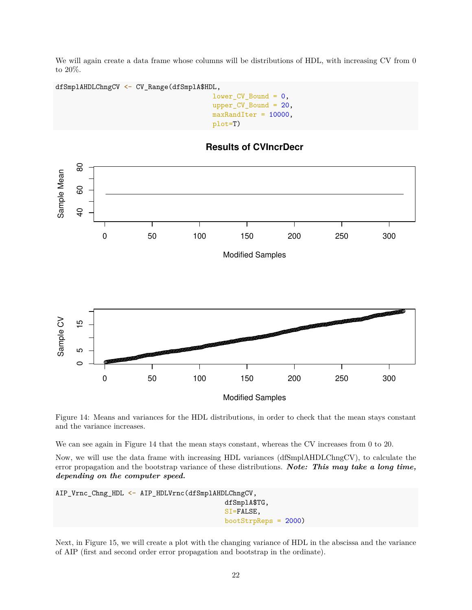We will again create a data frame whose columns will be distributions of HDL, with increasing CV from 0 to 20%.

```
dfSmplAHDLChngCV <- CV_Range(dfSmplA$HDL,
```

```
lower_CV_Bound = 0,
upper_CV_Bound = 20,
maxRandIter = 10000,
plot=T)
```


**Results of CVIncrDecr**

Figure 14: Means and variances for the HDL distributions, in order to check that the mean stays constant and the variance increases.

We can see again in Figure 14 that the mean stays constant, whereas the CV increases from 0 to 20.

Now, we will use the data frame with increasing HDL variances (dfSmplAHDLChngCV), to calculate the error propagation and the bootstrap variance of these distributions. *Note: This may take a long time, depending on the computer speed.*

```
AIP_Vrnc_Chng_HDL <- AIP_HDLVrnc(dfSmplAHDLChngCV,
                                           dfSmplA$TG,
                                           SI=FALSE,
                                           bootStrpReps = 2000)
```
Next, in Figure 15, we will create a plot with the changing variance of HDL in the abscissa and the variance of AIP (first and second order error propagation and bootstrap in the ordinate).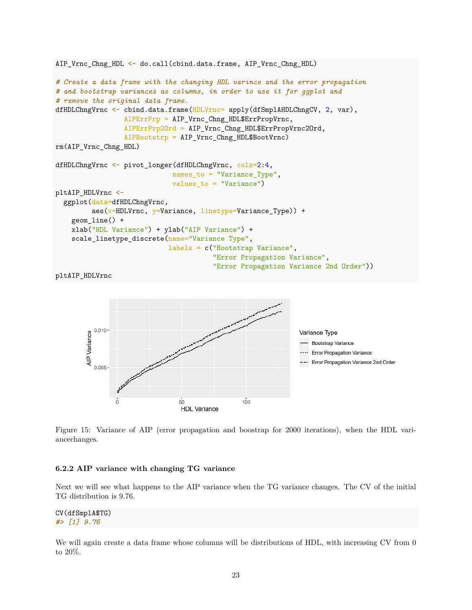```
AIP_Vrnc_Chng_HDL <- do.call(cbind.data.frame, AIP_Vrnc_Chng_HDL)
# Create a data frame with the changing HDL varince and the error propagation
# and bootstrap variances as columns, in order to use it for ggplot and
# remove the original data frame.
dfHDLChngVrnc <- cbind.data.frame(HDLVrnc= apply(dfSmplAHDLChngCV, 2, var),
                 AIPErrPrp = AIP_Vrnc_Chng_HDL$ErrPropVrnc,
                 AIPErrPrp20rd = AIP Vrnc Chng HDL$ErrPropVrnc2Ord,
                 AIPBootstrp = AIP_Vrnc_Chng_HDL$BootVrnc)
rm(AIP_Vrnc_Chng_HDL)
dfHDLChngVrnc <- pivot_longer(dfHDLChngVrnc, cols=2:4,
                             names_to = "Variance_Type",
                             values_to = "Variance")
pltAIP_HDLVrnc <-
  ggplot(data=dfHDLChngVrnc,
         aes(x=HDLVrnc, y=Variance, linetype=Variance_Type)) +
    geom_line() +
    xlab("HDL Variance") + ylab("AIP Variance") +
    scale_linetype_discrete(name="Variance Type",
                            labels = c("Bootstrap Variance",
                                       "Error Propagation Variance",
                                       "Error Propagation Variance 2nd Order"))
```

```
pltAIP_HDLVrnc
```


Figure 15: Variance of AIP (error propagation and boostrap for 2000 iterations), when the HDL variancechanges.

#### **6.2.2 AIP variance with changing TG variance**

Next we will see what happens to the AIP variance when the TG variance changes. The CV of the initial TG distribution is 9.76.

CV(dfSmplA\$TG) *#> [1] 9.76*

We will again create a data frame whose columns will be distributions of HDL, with increasing CV from 0 to 20%.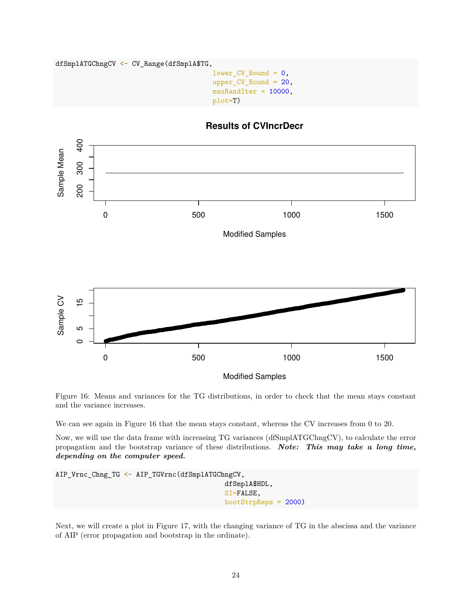dfSmplATGChngCV <- CV\_Range(dfSmplA\$TG,

lower\_CV\_Bound = 0, upper\_CV\_Bound = 20, maxRandIter = 10000, plot=T)



Figure 16: Means and variances for the TG distributions, in order to check that the mean stays constant and the variance increases.

We can see again in Figure 16 that the mean stays constant, whereas the CV increases from 0 to 20.

Now, we will use the data frame with increasing TG variances (dfSmplATGChngCV), to calculate the error propagation and the bootstrap variance of these distributions. *Note: This may take a long time, depending on the computer speed.*

```
AIP_Vrnc_Chng_TG <- AIP_TGVrnc(dfSmplATGChngCV,
                                           dfSmplA$HDL,
                                           SI=FALSE,
                                           bootStrpReps = 2000)
```
Next, we will create a plot in Figure 17, with the changing variance of TG in the abscissa and the variance of AIP (error propagation and bootstrap in the ordinate).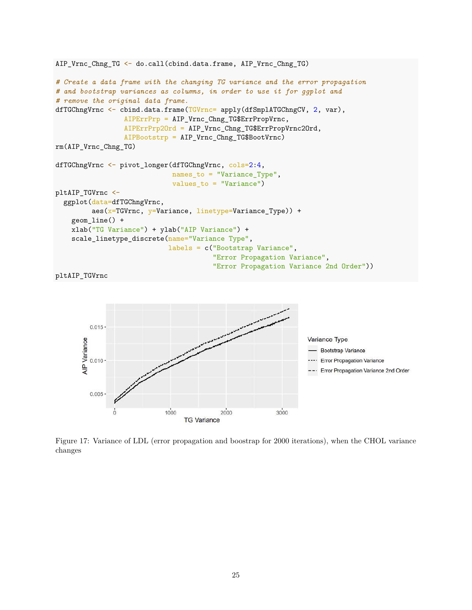```
AIP_Vrnc_Chng_TG <- do.call(cbind.data.frame, AIP_Vrnc_Chng_TG)
# Create a data frame with the changing TG variance and the error propagation
# and bootstrap variances as columns, in order to use it for ggplot and
# remove the original data frame.
dfTGChngVrnc <- cbind.data.frame(TGVrnc= apply(dfSmplATGChngCV, 2, var),
                 AIPErrPrp = AIP_Vrnc_Chng_TG$ErrPropVrnc,
                 AIPErrPrp20rd = AIP Vrnc Chng TG$ErrPropVrnc20rd,
                 AIPBootstrp = AIP_Vrnc_Chng_TG$BootVrnc)
rm(AIP_Vrnc_Chng_TG)
dfTGChngVrnc <- pivot_longer(dfTGChngVrnc, cols=2:4,
                             names_to = "Variance_Type",
                             values_to = "Variance")
pltAIP_TGVrnc <-
  ggplot(data=dfTGChngVrnc,
         aes(x=TGVrnc, y=Variance, linetype=Variance_Type)) +
    geom_line() +
    xlab("TG Variance") + ylab("AIP Variance") +
    scale_linetype_discrete(name="Variance Type",
                            labels = c("Bootstrap Variance",
                                       "Error Propagation Variance",
                                       "Error Propagation Variance 2nd Order"))
```

```
pltAIP_TGVrnc
```


Figure 17: Variance of LDL (error propagation and boostrap for 2000 iterations), when the CHOL variance changes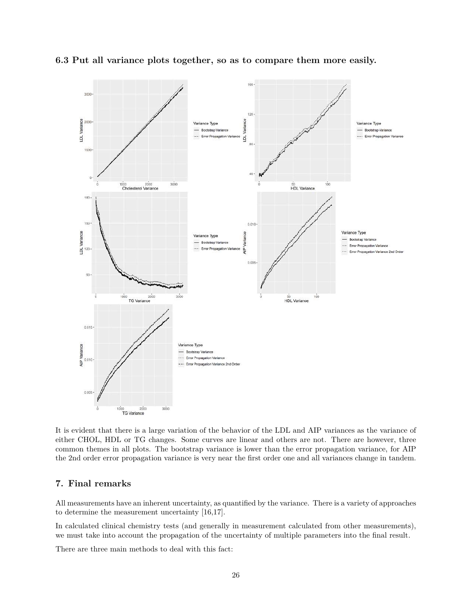



It is evident that there is a large variation of the behavior of the LDL and AIP variances as the variance of either CHOL, HDL or TG changes. Some curves are linear and others are not. There are however, three common themes in all plots. The bootstrap variance is lower than the error propagation variance, for AIP the 2nd order error propagation variance is very near the first order one and all variances change in tandem.

## **7. Final remarks**

All measurements have an inherent uncertainty, as quantified by the variance. There is a variety of approaches to determine the measurement uncertainty [16,17].

In calculated clinical chemistry tests (and generally in measurement calculated from other measurements), we must take into account the propagation of the uncertainty of multiple parameters into the final result.

There are three main methods to deal with this fact: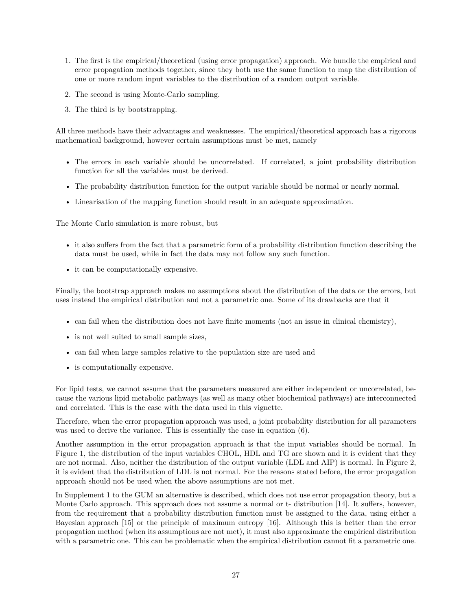- 1. The first is the empirical/theoretical (using error propagation) approach. We bundle the empirical and error propagation methods together, since they both use the same function to map the distribution of one or more random input variables to the distribution of a random output variable.
- 2. The second is using Monte-Carlo sampling.
- 3. The third is by bootstrapping.

All three methods have their advantages and weaknesses. The empirical/theoretical approach has a rigorous mathematical background, however certain assumptions must be met, namely

- The errors in each variable should be uncorrelated. If correlated, a joint probability distribution function for all the variables must be derived.
- The probability distribution function for the output variable should be normal or nearly normal.
- Linearisation of the mapping function should result in an adequate approximation.

The Monte Carlo simulation is more robust, but

- it also suffers from the fact that a parametric form of a probability distribution function describing the data must be used, while in fact the data may not follow any such function.
- it can be computationally expensive.

Finally, the bootstrap approach makes no assumptions about the distribution of the data or the errors, but uses instead the empirical distribution and not a parametric one. Some of its drawbacks are that it

- can fail when the distribution does not have finite moments (not an issue in clinical chemistry),
- is not well suited to small sample sizes,
- can fail when large samples relative to the population size are used and
- is computationally expensive.

For lipid tests, we cannot assume that the parameters measured are either independent or uncorrelated, because the various lipid metabolic pathways (as well as many other biochemical pathways) are interconnected and correlated. This is the case with the data used in this vignette.

Therefore, when the error propagation approach was used, a joint probability distribution for all parameters was used to derive the variance. This is essentially the case in equation (6).

Another assumption in the error propagation approach is that the input variables should be normal. In Figure 1, the distribution of the input variables CHOL, HDL and TG are shown and it is evident that they are not normal. Also, neither the distribution of the output variable (LDL and AIP) is normal. In Figure 2, it is evident that the distribution of LDL is not normal. For the reasons stated before, the error propagation approach should not be used when the above assumptions are not met.

In Supplement 1 to the GUM an alternative is described, which does not use error propagation theory, but a Monte Carlo approach. This approach does not assume a normal or t- distribution [14]. It suffers, however, from the requirement that a probability distribution function must be assigned to the data, using either a Bayesian approach [15] or the principle of maximum entropy [16]. Although this is better than the error propagation method (when its assumptions are not met), it must also approximate the empirical distribution with a parametric one. This can be problematic when the empirical distribution cannot fit a parametric one.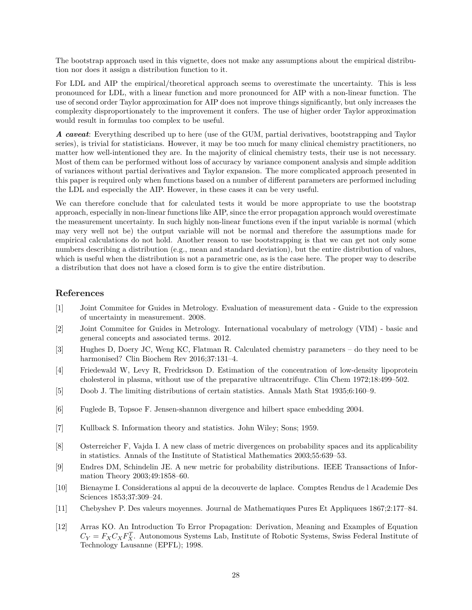The bootstrap approach used in this vignette, does not make any assumptions about the empirical distribution nor does it assign a distribution function to it.

For LDL and AIP the empirical/theoretical approach seems to overestimate the uncertainty. This is less pronounced for LDL, with a linear function and more pronounced for AIP with a non-linear function. The use of second order Taylor approximation for AIP does not improve things significantly, but only increases the complexity disproportionately to the improvement it confers. The use of higher order Taylor approximation would result in formulas too complex to be useful.

*A caveat*: Everything described up to here (use of the GUM, partial derivatives, bootstrapping and Taylor series), is trivial for statisticians. However, it may be too much for many clinical chemistry practitioners, no matter how well-intentioned they are. In the majority of clinical chemistry tests, their use is not necessary. Most of them can be performed without loss of accuracy by variance component analysis and simple addition of variances without partial derivatives and Taylor expansion. The more complicated approach presented in this paper is required only when functions based on a number of different parameters are performed including the LDL and especially the AIP. However, in these cases it can be very useful.

We can therefore conclude that for calculated tests it would be more appropriate to use the bootstrap approach, especially in non-linear functions like AIP, since the error propagation approach would overestimate the measurement uncertainty. In such highly non-linear functions even if the input variable is normal (which may very well not be) the output variable will not be normal and therefore the assumptions made for empirical calculations do not hold. Another reason to use bootstrapping is that we can get not only some numbers describing a distribution (e.g., mean and standard deviation), but the entire distribution of values, which is useful when the distribution is not a parametric one, as is the case here. The proper way to describe a distribution that does not have a closed form is to give the entire distribution.

#### **References**

- [1] Joint Commitee for Guides in Metrology. Evaluation of measurement data Guide to the expression of uncertainty in measurement. 2008.
- [2] Joint Commitee for Guides in Metrology. International vocabulary of metrology (VIM) basic and general concepts and associated terms. 2012.
- [3] Hughes D, Doery JC, Weng KC, Flatman R. Calculated chemistry parameters do they need to be harmonised? Clin Biochem Rev 2016;37:131–4.
- [4] Friedewald W, Levy R, Fredrickson D. Estimation of the concentration of low-density lipoprotein cholesterol in plasma, without use of the preparative ultracentrifuge. Clin Chem 1972;18:499–502.
- [5] Doob J. The limiting distributions of certain statistics. Annals Math Stat 1935;6:160–9.
- [6] Fuglede B, Topsoe F. Jensen-shannon divergence and hilbert space embedding 2004.
- [7] Kullback S. Information theory and statistics. John Wiley; Sons; 1959.
- [8] Osterreicher F, Vajda I. A new class of metric divergences on probability spaces and its applicability in statistics. Annals of the Institute of Statistical Mathematics 2003;55:639–53.
- [9] Endres DM, Schindelin JE. A new metric for probability distributions. IEEE Transactions of Information Theory 2003;49:1858–60.
- [10] Bienayme I. Considerations al appui de la decouverte de laplace. Comptes Rendus de l Academie Des Sciences 1853;37:309–24.
- [11] Chebyshev P. Des valeurs moyennes. Journal de Mathematiques Pures Et Appliquees 1867;2:177–84.
- [12] Arras KO. An Introduction To Error Propagation: Derivation, Meaning and Examples of Equation  $\overline{C_Y}$  =  $\overline{X}_X \overline{X}_Y$  . The<br>characteristic system  $j_X^T$ . Autonomous Systems Lab, Institute of Robotic Systems, Swiss Federal Institute of  $N$